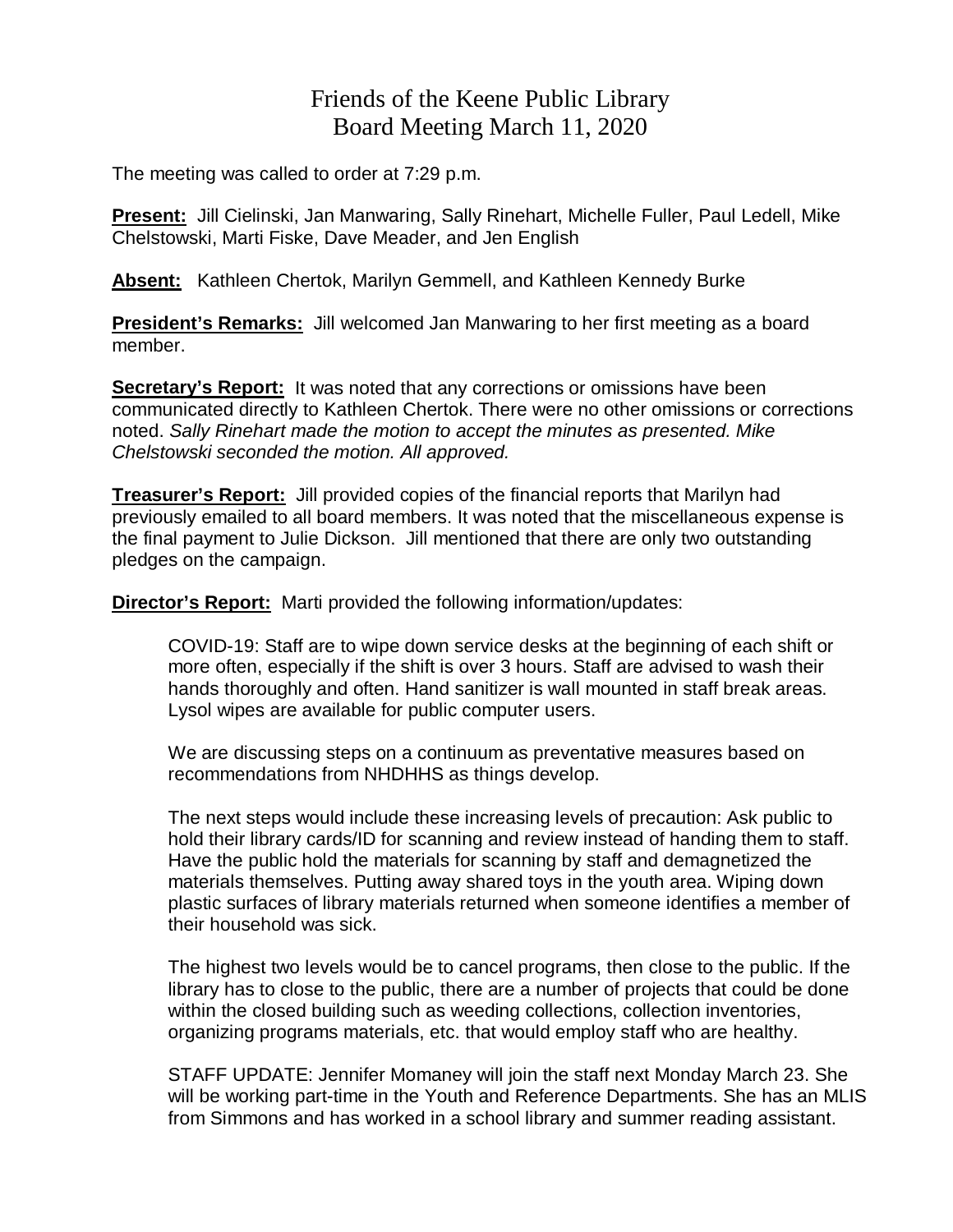## Friends of the Keene Public Library Board Meeting March 11, 2020

The meeting was called to order at 7:29 p.m.

**Present:** Jill Cielinski, Jan Manwaring, Sally Rinehart, Michelle Fuller, Paul Ledell, Mike Chelstowski, Marti Fiske, Dave Meader, and Jen English

**Absent:** Kathleen Chertok, Marilyn Gemmell, and Kathleen Kennedy Burke

**President's Remarks:** Jill welcomed Jan Manwaring to her first meeting as a board member.

**Secretary's Report:** It was noted that any corrections or omissions have been communicated directly to Kathleen Chertok. There were no other omissions or corrections noted. *Sally Rinehart made the motion to accept the minutes as presented. Mike Chelstowski seconded the motion. All approved.*

**Treasurer's Report:** Jill provided copies of the financial reports that Marilyn had previously emailed to all board members. It was noted that the miscellaneous expense is the final payment to Julie Dickson. Jill mentioned that there are only two outstanding pledges on the campaign.

**Director's Report:** Marti provided the following information/updates:

COVID-19: Staff are to wipe down service desks at the beginning of each shift or more often, especially if the shift is over 3 hours. Staff are advised to wash their hands thoroughly and often. Hand sanitizer is wall mounted in staff break areas. Lysol wipes are available for public computer users.

We are discussing steps on a continuum as preventative measures based on recommendations from NHDHHS as things develop.

The next steps would include these increasing levels of precaution: Ask public to hold their library cards/ID for scanning and review instead of handing them to staff. Have the public hold the materials for scanning by staff and demagnetized the materials themselves. Putting away shared toys in the youth area. Wiping down plastic surfaces of library materials returned when someone identifies a member of their household was sick.

The highest two levels would be to cancel programs, then close to the public. If the library has to close to the public, there are a number of projects that could be done within the closed building such as weeding collections, collection inventories, organizing programs materials, etc. that would employ staff who are healthy.

STAFF UPDATE: Jennifer Momaney will join the staff next Monday March 23. She will be working part-time in the Youth and Reference Departments. She has an MLIS from Simmons and has worked in a school library and summer reading assistant.